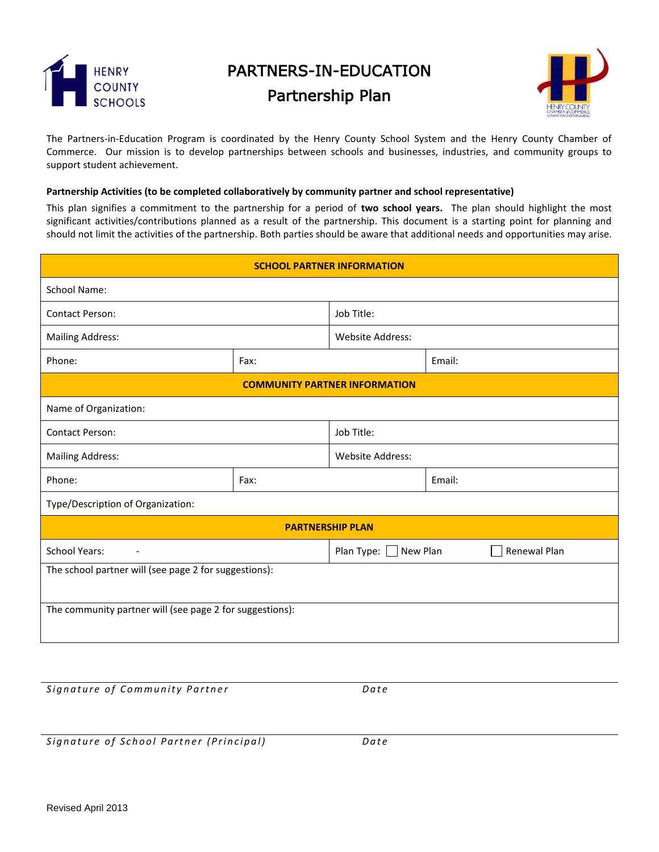

## PARTNERS-IN-EDUCATION

## Partnership Plan



The Partners-in-Education Program is coordinated by the Henry County School System and the Henry County Chamber of Commerce. Our mission is to develop partnerships between schools and businesses, industries, and community groups to support student achievement.

## **Partnership Activities (to be completed collaboratively by community partner and school representative)**

This plan signifies a commitment to the partnership for a period of **two school years.** The plan should highlight the most significant activities/contributions planned as a result of the partnership. This document is a starting point for planning and should not limit the activities of the partnership. Both parties should be aware that additional needs and opportunities may arise.

| <b>SCHOOL PARTNER INFORMATION</b>                        |      |                                               |        |        |  |  |
|----------------------------------------------------------|------|-----------------------------------------------|--------|--------|--|--|
| <b>School Name:</b>                                      |      |                                               |        |        |  |  |
| <b>Contact Person:</b>                                   |      | Job Title:                                    |        |        |  |  |
| <b>Mailing Address:</b>                                  |      | <b>Website Address:</b>                       |        |        |  |  |
| Phone:                                                   | Fax: |                                               |        | Email: |  |  |
| <b>COMMUNITY PARTNER INFORMATION</b>                     |      |                                               |        |        |  |  |
| Name of Organization:                                    |      |                                               |        |        |  |  |
| <b>Contact Person:</b>                                   |      | Job Title:                                    |        |        |  |  |
| <b>Mailing Address:</b>                                  |      | <b>Website Address:</b>                       |        |        |  |  |
| Phone:                                                   | Fax: |                                               | Email: |        |  |  |
| Type/Description of Organization:                        |      |                                               |        |        |  |  |
| <b>PARTNERSHIP PLAN</b>                                  |      |                                               |        |        |  |  |
| <b>School Years:</b><br>$\overline{\phantom{a}}$         |      | Plan Type: $\Box$<br>New Plan<br>Renewal Plan |        |        |  |  |
| The school partner will (see page 2 for suggestions):    |      |                                               |        |        |  |  |
| The community partner will (see page 2 for suggestions): |      |                                               |        |        |  |  |

*Signature of Community Partner* **Example 2** *Date* 

*Signature of School Partner (Principal)* Date